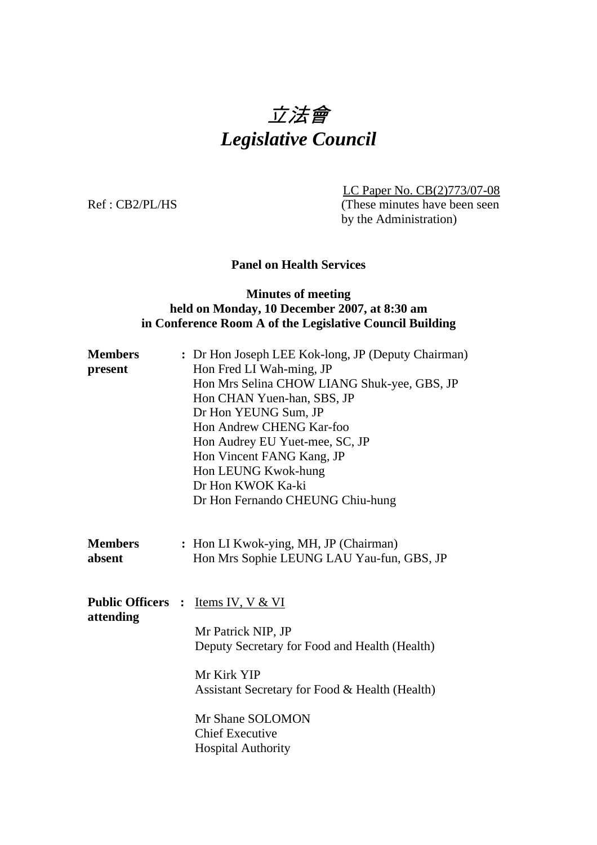# 立法會 *Legislative Council*

 LC Paper No. CB(2)773/07-08 Ref : CB2/PL/HS (These minutes have been seen by the Administration)

#### **Panel on Health Services**

#### **Minutes of meeting held on Monday, 10 December 2007, at 8:30 am in Conference Room A of the Legislative Council Building**

| <b>Members</b><br>present             | : Dr Hon Joseph LEE Kok-long, JP (Deputy Chairman)<br>Hon Fred LI Wah-ming, JP<br>Hon Mrs Selina CHOW LIANG Shuk-yee, GBS, JP<br>Hon CHAN Yuen-han, SBS, JP<br>Dr Hon YEUNG Sum, JP<br>Hon Andrew CHENG Kar-foo<br>Hon Audrey EU Yuet-mee, SC, JP<br>Hon Vincent FANG Kang, JP<br>Hon LEUNG Kwok-hung<br>Dr Hon KWOK Ka-ki<br>Dr Hon Fernando CHEUNG Chiu-hung |
|---------------------------------------|----------------------------------------------------------------------------------------------------------------------------------------------------------------------------------------------------------------------------------------------------------------------------------------------------------------------------------------------------------------|
| <b>Members</b><br>absent              | : Hon LI Kwok-ying, MH, JP (Chairman)<br>Hon Mrs Sophie LEUNG LAU Yau-fun, GBS, JP                                                                                                                                                                                                                                                                             |
| <b>Public Officers :</b><br>attending | <u>Items IV, V &amp; VI</u><br>Mr Patrick NIP, JP<br>Deputy Secretary for Food and Health (Health)<br>Mr Kirk YIP<br>Assistant Secretary for Food & Health (Health)<br>Mr Shane SOLOMON<br><b>Chief Executive</b><br><b>Hospital Authority</b>                                                                                                                 |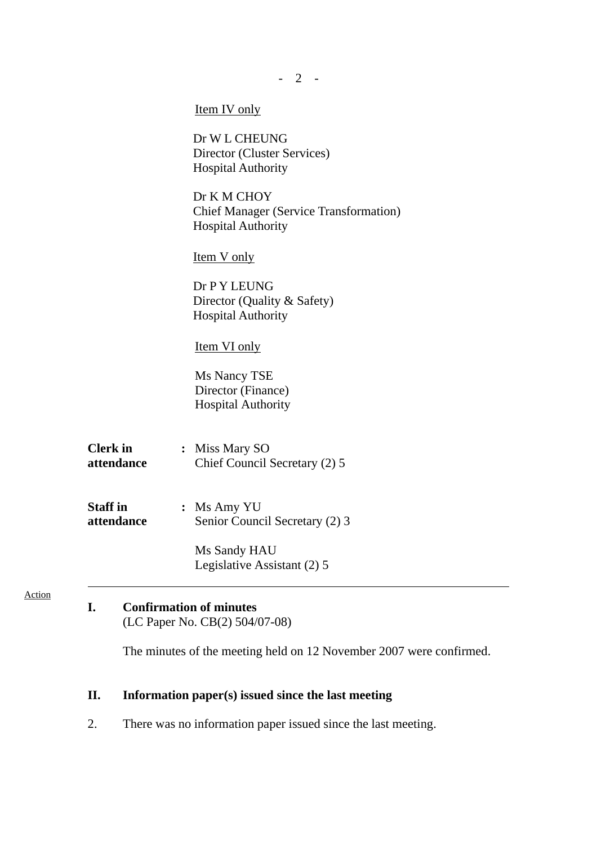|                               | $-2$                                                                                      |
|-------------------------------|-------------------------------------------------------------------------------------------|
|                               | <b>Item IV</b> only                                                                       |
|                               | Dr W L CHEUNG<br>Director (Cluster Services)<br><b>Hospital Authority</b>                 |
|                               | Dr K M CHOY<br><b>Chief Manager (Service Transformation)</b><br><b>Hospital Authority</b> |
|                               | <b>Item V only</b>                                                                        |
|                               | Dr P Y LEUNG<br>Director (Quality & Safety)<br><b>Hospital Authority</b>                  |
|                               | <b>Item VI only</b>                                                                       |
|                               | Ms Nancy TSE<br>Director (Finance)<br><b>Hospital Authority</b>                           |
| <b>Clerk</b> in<br>attendance | : Miss Mary SO<br>Chief Council Secretary (2) 5                                           |
| <b>Staff</b> in<br>attendance | : Ms Amy YU<br>Senior Council Secretary (2) 3                                             |
|                               | Ms Sandy HAU<br>Legislative Assistant (2) 5                                               |

## **I. Confirmation of minutes**

Action

(LC Paper No. CB(2) 504/07-08)

The minutes of the meeting held on 12 November 2007 were confirmed.

# **II. Information paper(s) issued since the last meeting**

2. There was no information paper issued since the last meeting.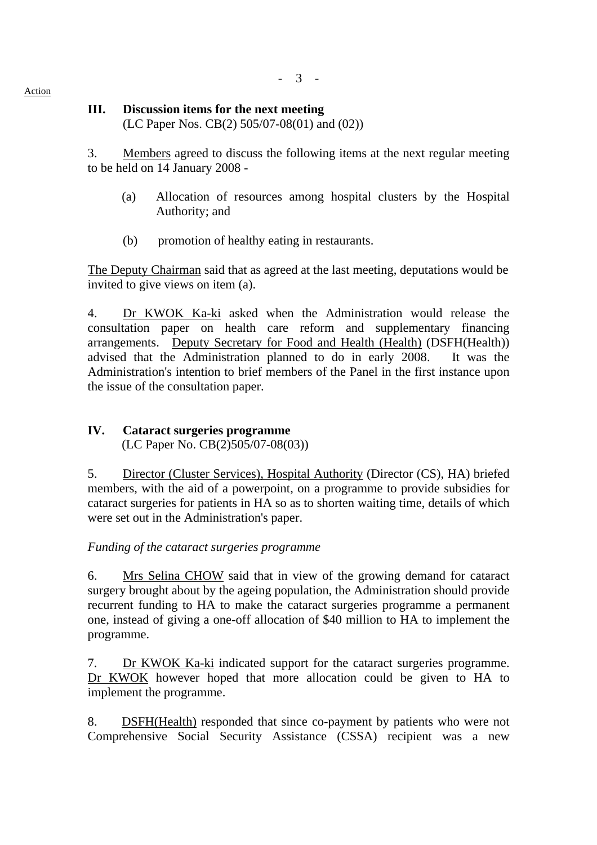#### **III. Discussion items for the next meeting**

(LC Paper Nos. CB(2) 505/07-08(01) and (02))

3. Members agreed to discuss the following items at the next regular meeting to be held on 14 January 2008 -

- (a) Allocation of resources among hospital clusters by the Hospital Authority; and
- (b) promotion of healthy eating in restaurants.

The Deputy Chairman said that as agreed at the last meeting, deputations would be invited to give views on item (a).

4. Dr KWOK Ka-ki asked when the Administration would release the consultation paper on health care reform and supplementary financing arrangements. Deputy Secretary for Food and Health (Health) (DSFH(Health)) advised that the Administration planned to do in early 2008. It was the Administration's intention to brief members of the Panel in the first instance upon the issue of the consultation paper.

#### **IV. Cataract surgeries programme**  (LC Paper No. CB(2)505/07-08(03))

5. Director (Cluster Services), Hospital Authority (Director (CS), HA) briefed members, with the aid of a powerpoint, on a programme to provide subsidies for cataract surgeries for patients in HA so as to shorten waiting time, details of which were set out in the Administration's paper.

*Funding of the cataract surgeries programme* 

6. Mrs Selina CHOW said that in view of the growing demand for cataract surgery brought about by the ageing population, the Administration should provide recurrent funding to HA to make the cataract surgeries programme a permanent one, instead of giving a one-off allocation of \$40 million to HA to implement the programme.

7. Dr KWOK Ka-ki indicated support for the cataract surgeries programme. Dr KWOK however hoped that more allocation could be given to HA to implement the programme.

8. DSFH(Health) responded that since co-payment by patients who were not Comprehensive Social Security Assistance (CSSA) recipient was a new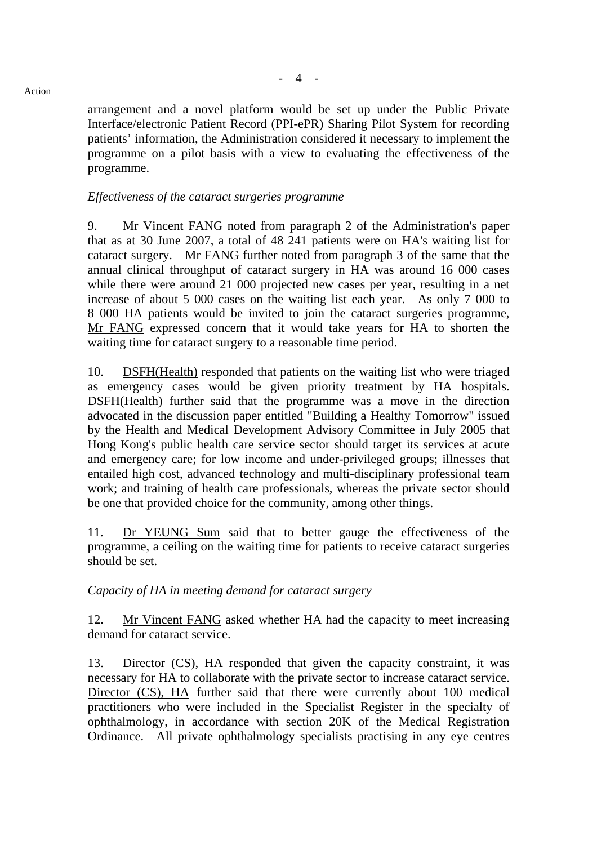#### Action

arrangement and a novel platform would be set up under the Public Private Interface/electronic Patient Record (PPI-ePR) Sharing Pilot System for recording patients' information, the Administration considered it necessary to implement the programme on a pilot basis with a view to evaluating the effectiveness of the programme.

#### *Effectiveness of the cataract surgeries programme*

9. Mr Vincent FANG noted from paragraph 2 of the Administration's paper that as at 30 June 2007, a total of 48 241 patients were on HA's waiting list for cataract surgery. Mr FANG further noted from paragraph 3 of the same that the annual clinical throughput of cataract surgery in HA was around 16 000 cases while there were around 21 000 projected new cases per year, resulting in a net increase of about 5 000 cases on the waiting list each year. As only 7 000 to 8 000 HA patients would be invited to join the cataract surgeries programme, Mr FANG expressed concern that it would take years for HA to shorten the waiting time for cataract surgery to a reasonable time period.

10. DSFH(Health) responded that patients on the waiting list who were triaged as emergency cases would be given priority treatment by HA hospitals. DSFH(Health) further said that the programme was a move in the direction advocated in the discussion paper entitled "Building a Healthy Tomorrow" issued by the Health and Medical Development Advisory Committee in July 2005 that Hong Kong's public health care service sector should target its services at acute and emergency care; for low income and under-privileged groups; illnesses that entailed high cost, advanced technology and multi-disciplinary professional team work; and training of health care professionals, whereas the private sector should be one that provided choice for the community, among other things.

11. Dr YEUNG Sum said that to better gauge the effectiveness of the programme, a ceiling on the waiting time for patients to receive cataract surgeries should be set.

#### *Capacity of HA in meeting demand for cataract surgery*

12. Mr Vincent FANG asked whether HA had the capacity to meet increasing demand for cataract service.

13. Director (CS), HA responded that given the capacity constraint, it was necessary for HA to collaborate with the private sector to increase cataract service. Director (CS), HA further said that there were currently about 100 medical practitioners who were included in the Specialist Register in the specialty of ophthalmology, in accordance with section 20K of the Medical Registration Ordinance. All private ophthalmology specialists practising in any eye centres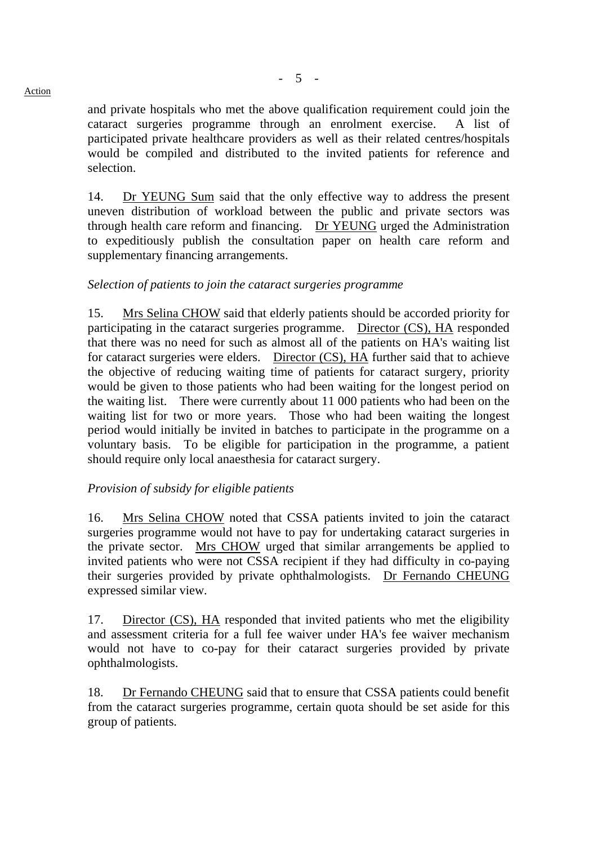and private hospitals who met the above qualification requirement could join the cataract surgeries programme through an enrolment exercise. A list of participated private healthcare providers as well as their related centres/hospitals would be compiled and distributed to the invited patients for reference and selection.

14. Dr YEUNG Sum said that the only effective way to address the present uneven distribution of workload between the public and private sectors was through health care reform and financing. Dr YEUNG urged the Administration to expeditiously publish the consultation paper on health care reform and supplementary financing arrangements.

## *Selection of patients to join the cataract surgeries programme*

15. Mrs Selina CHOW said that elderly patients should be accorded priority for participating in the cataract surgeries programme. Director (CS), HA responded that there was no need for such as almost all of the patients on HA's waiting list for cataract surgeries were elders. Director (CS), HA further said that to achieve the objective of reducing waiting time of patients for cataract surgery, priority would be given to those patients who had been waiting for the longest period on the waiting list. There were currently about 11 000 patients who had been on the waiting list for two or more years. Those who had been waiting the longest period would initially be invited in batches to participate in the programme on a voluntary basis. To be eligible for participation in the programme, a patient should require only local anaesthesia for cataract surgery.

## *Provision of subsidy for eligible patients*

16. Mrs Selina CHOW noted that CSSA patients invited to join the cataract surgeries programme would not have to pay for undertaking cataract surgeries in the private sector. Mrs CHOW urged that similar arrangements be applied to invited patients who were not CSSA recipient if they had difficulty in co-paying their surgeries provided by private ophthalmologists. Dr Fernando CHEUNG expressed similar view.

17. Director (CS), HA responded that invited patients who met the eligibility and assessment criteria for a full fee waiver under HA's fee waiver mechanism would not have to co-pay for their cataract surgeries provided by private ophthalmologists.

18. Dr Fernando CHEUNG said that to ensure that CSSA patients could benefit from the cataract surgeries programme, certain quota should be set aside for this group of patients.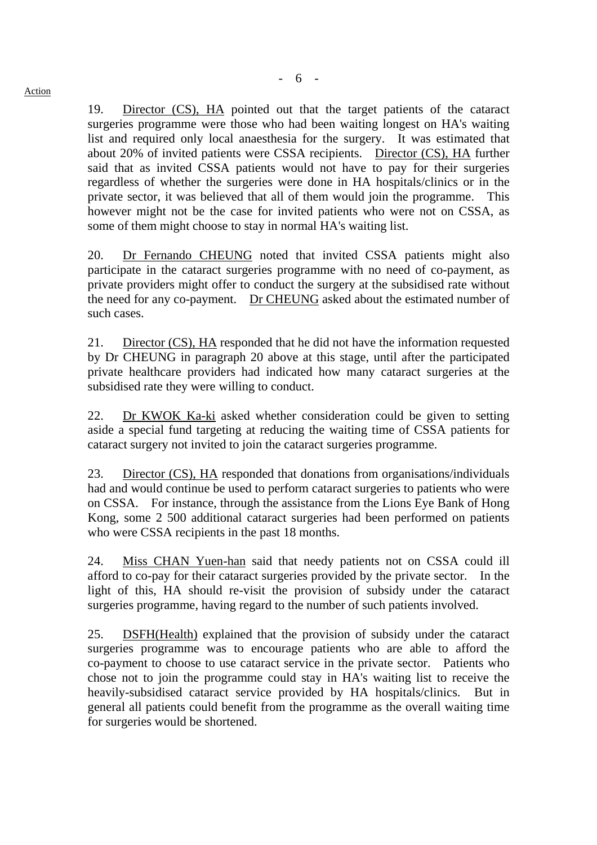19. Director (CS), HA pointed out that the target patients of the cataract surgeries programme were those who had been waiting longest on HA's waiting list and required only local anaesthesia for the surgery. It was estimated that about 20% of invited patients were CSSA recipients. Director (CS), HA further said that as invited CSSA patients would not have to pay for their surgeries regardless of whether the surgeries were done in HA hospitals/clinics or in the private sector, it was believed that all of them would join the programme. This however might not be the case for invited patients who were not on CSSA, as some of them might choose to stay in normal HA's waiting list.

20. Dr Fernando CHEUNG noted that invited CSSA patients might also participate in the cataract surgeries programme with no need of co-payment, as private providers might offer to conduct the surgery at the subsidised rate without the need for any co-payment. Dr CHEUNG asked about the estimated number of such cases.

21. Director (CS), HA responded that he did not have the information requested by Dr CHEUNG in paragraph 20 above at this stage, until after the participated private healthcare providers had indicated how many cataract surgeries at the subsidised rate they were willing to conduct.

22. Dr KWOK Ka-ki asked whether consideration could be given to setting aside a special fund targeting at reducing the waiting time of CSSA patients for cataract surgery not invited to join the cataract surgeries programme.

23. Director (CS), HA responded that donations from organisations/individuals had and would continue be used to perform cataract surgeries to patients who were on CSSA. For instance, through the assistance from the Lions Eye Bank of Hong Kong, some 2 500 additional cataract surgeries had been performed on patients who were CSSA recipients in the past 18 months.

24. Miss CHAN Yuen-han said that needy patients not on CSSA could ill afford to co-pay for their cataract surgeries provided by the private sector. In the light of this, HA should re-visit the provision of subsidy under the cataract surgeries programme, having regard to the number of such patients involved.

25. DSFH(Health) explained that the provision of subsidy under the cataract surgeries programme was to encourage patients who are able to afford the co-payment to choose to use cataract service in the private sector. Patients who chose not to join the programme could stay in HA's waiting list to receive the heavily-subsidised cataract service provided by HA hospitals/clinics. But in general all patients could benefit from the programme as the overall waiting time for surgeries would be shortened.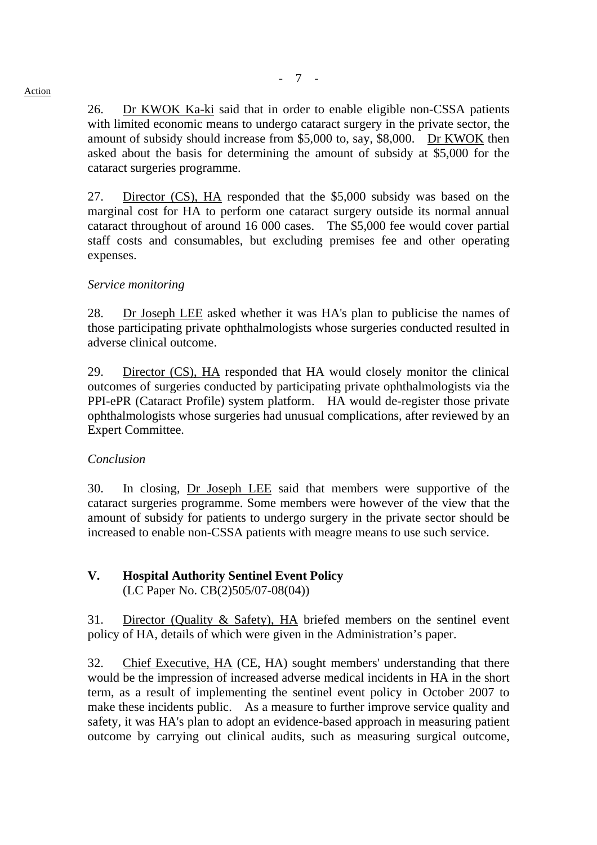## 26. Dr KWOK Ka-ki said that in order to enable eligible non-CSSA patients with limited economic means to undergo cataract surgery in the private sector, the amount of subsidy should increase from \$5,000 to, say, \$8,000. Dr KWOK then asked about the basis for determining the amount of subsidy at \$5,000 for the cataract surgeries programme.

27. Director (CS), HA responded that the \$5,000 subsidy was based on the marginal cost for HA to perform one cataract surgery outside its normal annual cataract throughout of around 16 000 cases. The \$5,000 fee would cover partial staff costs and consumables, but excluding premises fee and other operating expenses.

## *Service monitoring*

28. Dr Joseph LEE asked whether it was HA's plan to publicise the names of those participating private ophthalmologists whose surgeries conducted resulted in adverse clinical outcome.

29. Director (CS), HA responded that HA would closely monitor the clinical outcomes of surgeries conducted by participating private ophthalmologists via the PPI-ePR (Cataract Profile) system platform. HA would de-register those private ophthalmologists whose surgeries had unusual complications, after reviewed by an Expert Committee.

## *Conclusion*

30. In closing, Dr Joseph LEE said that members were supportive of the cataract surgeries programme. Some members were however of the view that the amount of subsidy for patients to undergo surgery in the private sector should be increased to enable non-CSSA patients with meagre means to use such service.

# **V. Hospital Authority Sentinel Event Policy**

(LC Paper No. CB(2)505/07-08(04))

31. Director (Quality & Safety), HA briefed members on the sentinel event policy of HA, details of which were given in the Administration's paper.

32. Chief Executive, HA (CE, HA) sought members' understanding that there would be the impression of increased adverse medical incidents in HA in the short term, as a result of implementing the sentinel event policy in October 2007 to make these incidents public. As a measure to further improve service quality and safety, it was HA's plan to adopt an evidence-based approach in measuring patient outcome by carrying out clinical audits, such as measuring surgical outcome,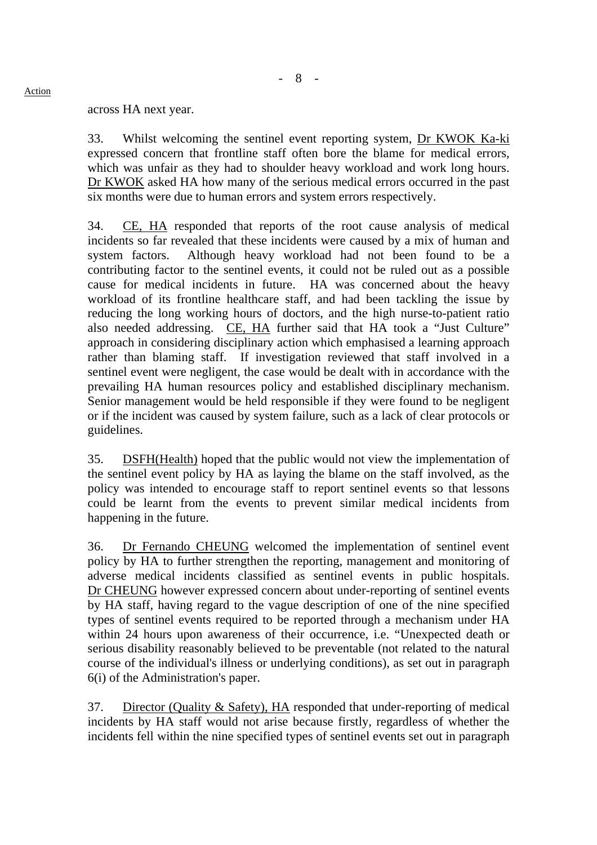across HA next year.

33. Whilst welcoming the sentinel event reporting system, Dr KWOK Ka-ki expressed concern that frontline staff often bore the blame for medical errors, which was unfair as they had to shoulder heavy workload and work long hours. Dr KWOK asked HA how many of the serious medical errors occurred in the past six months were due to human errors and system errors respectively.

34. CE, HA responded that reports of the root cause analysis of medical incidents so far revealed that these incidents were caused by a mix of human and system factors. Although heavy workload had not been found to be a contributing factor to the sentinel events, it could not be ruled out as a possible cause for medical incidents in future. HA was concerned about the heavy workload of its frontline healthcare staff, and had been tackling the issue by reducing the long working hours of doctors, and the high nurse-to-patient ratio also needed addressing. CE, HA further said that HA took a "Just Culture" approach in considering disciplinary action which emphasised a learning approach rather than blaming staff. If investigation reviewed that staff involved in a sentinel event were negligent, the case would be dealt with in accordance with the prevailing HA human resources policy and established disciplinary mechanism. Senior management would be held responsible if they were found to be negligent or if the incident was caused by system failure, such as a lack of clear protocols or guidelines.

35. DSFH(Health) hoped that the public would not view the implementation of the sentinel event policy by HA as laying the blame on the staff involved, as the policy was intended to encourage staff to report sentinel events so that lessons could be learnt from the events to prevent similar medical incidents from happening in the future.

36. Dr Fernando CHEUNG welcomed the implementation of sentinel event policy by HA to further strengthen the reporting, management and monitoring of adverse medical incidents classified as sentinel events in public hospitals. Dr CHEUNG however expressed concern about under-reporting of sentinel events by HA staff, having regard to the vague description of one of the nine specified types of sentinel events required to be reported through a mechanism under HA within 24 hours upon awareness of their occurrence, i.e. "Unexpected death or serious disability reasonably believed to be preventable (not related to the natural course of the individual's illness or underlying conditions), as set out in paragraph 6(i) of the Administration's paper.

37. Director (Quality & Safety), HA responded that under-reporting of medical incidents by HA staff would not arise because firstly, regardless of whether the incidents fell within the nine specified types of sentinel events set out in paragraph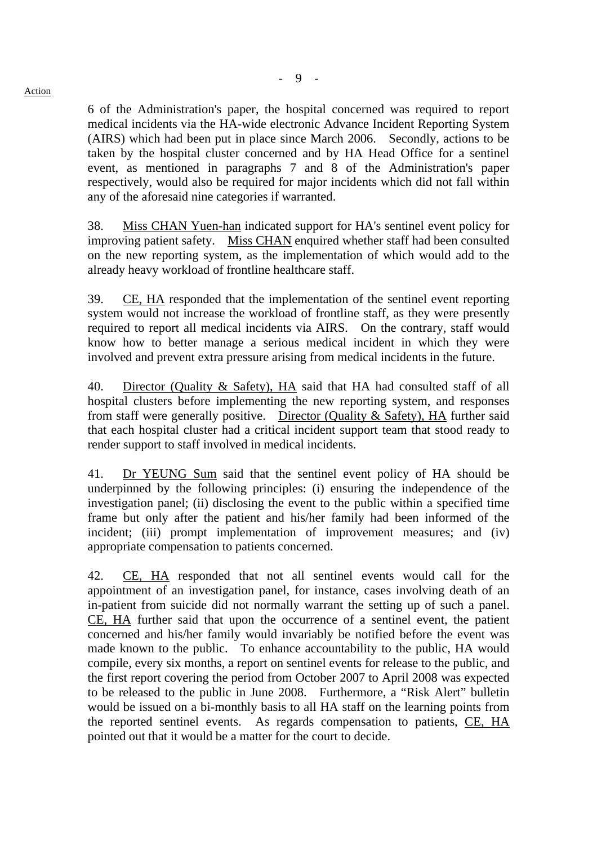6 of the Administration's paper, the hospital concerned was required to report medical incidents via the HA-wide electronic Advance Incident Reporting System (AIRS) which had been put in place since March 2006. Secondly, actions to be taken by the hospital cluster concerned and by HA Head Office for a sentinel event, as mentioned in paragraphs 7 and 8 of the Administration's paper respectively, would also be required for major incidents which did not fall within any of the aforesaid nine categories if warranted.

38. Miss CHAN Yuen-han indicated support for HA's sentinel event policy for improving patient safety. Miss CHAN enquired whether staff had been consulted on the new reporting system, as the implementation of which would add to the already heavy workload of frontline healthcare staff.

39. CE, HA responded that the implementation of the sentinel event reporting system would not increase the workload of frontline staff, as they were presently required to report all medical incidents via AIRS. On the contrary, staff would know how to better manage a serious medical incident in which they were involved and prevent extra pressure arising from medical incidents in the future.

40. Director (Quality & Safety), HA said that HA had consulted staff of all hospital clusters before implementing the new reporting system, and responses from staff were generally positive. Director (Quality & Safety), HA further said that each hospital cluster had a critical incident support team that stood ready to render support to staff involved in medical incidents.

41. Dr YEUNG Sum said that the sentinel event policy of HA should be underpinned by the following principles: (i) ensuring the independence of the investigation panel; (ii) disclosing the event to the public within a specified time frame but only after the patient and his/her family had been informed of the incident; (iii) prompt implementation of improvement measures; and (iv) appropriate compensation to patients concerned.

42. CE, HA responded that not all sentinel events would call for the appointment of an investigation panel, for instance, cases involving death of an in-patient from suicide did not normally warrant the setting up of such a panel. CE, HA further said that upon the occurrence of a sentinel event, the patient concerned and his/her family would invariably be notified before the event was made known to the public. To enhance accountability to the public, HA would compile, every six months, a report on sentinel events for release to the public, and the first report covering the period from October 2007 to April 2008 was expected to be released to the public in June 2008. Furthermore, a "Risk Alert" bulletin would be issued on a bi-monthly basis to all HA staff on the learning points from the reported sentinel events. As regards compensation to patients, CE, HA pointed out that it would be a matter for the court to decide.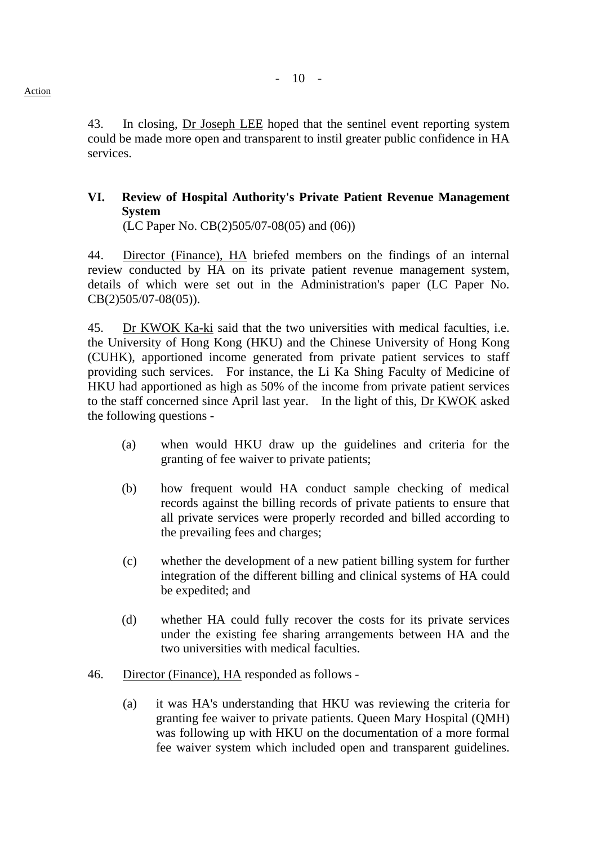43. In closing, Dr Joseph LEE hoped that the sentinel event reporting system could be made more open and transparent to instil greater public confidence in HA services.

# **VI. Review of Hospital Authority's Private Patient Revenue Management System**

(LC Paper No. CB(2)505/07-08(05) and (06))

44. Director (Finance), HA briefed members on the findings of an internal review conducted by HA on its private patient revenue management system, details of which were set out in the Administration's paper (LC Paper No. CB(2)505/07-08(05)).

45. Dr KWOK Ka-ki said that the two universities with medical faculties, i.e. the University of Hong Kong (HKU) and the Chinese University of Hong Kong (CUHK), apportioned income generated from private patient services to staff providing such services. For instance, the Li Ka Shing Faculty of Medicine of HKU had apportioned as high as 50% of the income from private patient services to the staff concerned since April last year. In the light of this, Dr KWOK asked the following questions -

- (a) when would HKU draw up the guidelines and criteria for the granting of fee waiver to private patients;
- (b) how frequent would HA conduct sample checking of medical records against the billing records of private patients to ensure that all private services were properly recorded and billed according to the prevailing fees and charges;
- (c) whether the development of a new patient billing system for further integration of the different billing and clinical systems of HA could be expedited; and
- (d) whether HA could fully recover the costs for its private services under the existing fee sharing arrangements between HA and the two universities with medical faculties.
- 46. Director (Finance), HA responded as follows
	- (a) it was HA's understanding that HKU was reviewing the criteria for granting fee waiver to private patients. Queen Mary Hospital (QMH) was following up with HKU on the documentation of a more formal fee waiver system which included open and transparent guidelines.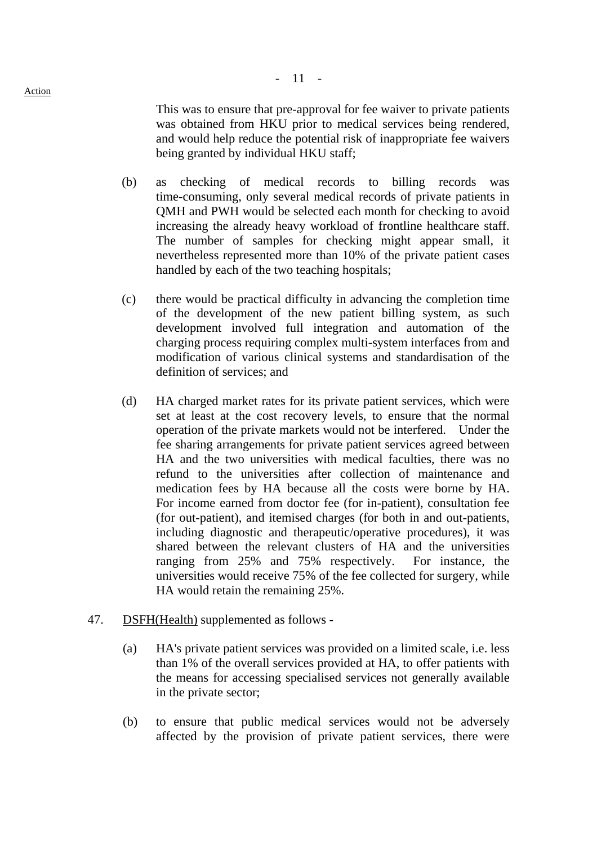This was to ensure that pre-approval for fee waiver to private patients was obtained from HKU prior to medical services being rendered, and would help reduce the potential risk of inappropriate fee waivers being granted by individual HKU staff;

- (b) as checking of medical records to billing records was time-consuming, only several medical records of private patients in QMH and PWH would be selected each month for checking to avoid increasing the already heavy workload of frontline healthcare staff. The number of samples for checking might appear small, it nevertheless represented more than 10% of the private patient cases handled by each of the two teaching hospitals;
- (c) there would be practical difficulty in advancing the completion time of the development of the new patient billing system, as such development involved full integration and automation of the charging process requiring complex multi-system interfaces from and modification of various clinical systems and standardisation of the definition of services; and
- (d) HA charged market rates for its private patient services, which were set at least at the cost recovery levels, to ensure that the normal operation of the private markets would not be interfered. Under the fee sharing arrangements for private patient services agreed between HA and the two universities with medical faculties, there was no refund to the universities after collection of maintenance and medication fees by HA because all the costs were borne by HA. For income earned from doctor fee (for in-patient), consultation fee (for out-patient), and itemised charges (for both in and out-patients, including diagnostic and therapeutic/operative procedures), it was shared between the relevant clusters of HA and the universities ranging from 25% and 75% respectively. For instance, the universities would receive 75% of the fee collected for surgery, while HA would retain the remaining 25%.
- 47. DSFH(Health) supplemented as follows
	- (a) HA's private patient services was provided on a limited scale, i.e. less than 1% of the overall services provided at HA, to offer patients with the means for accessing specialised services not generally available in the private sector;
	- (b) to ensure that public medical services would not be adversely affected by the provision of private patient services, there were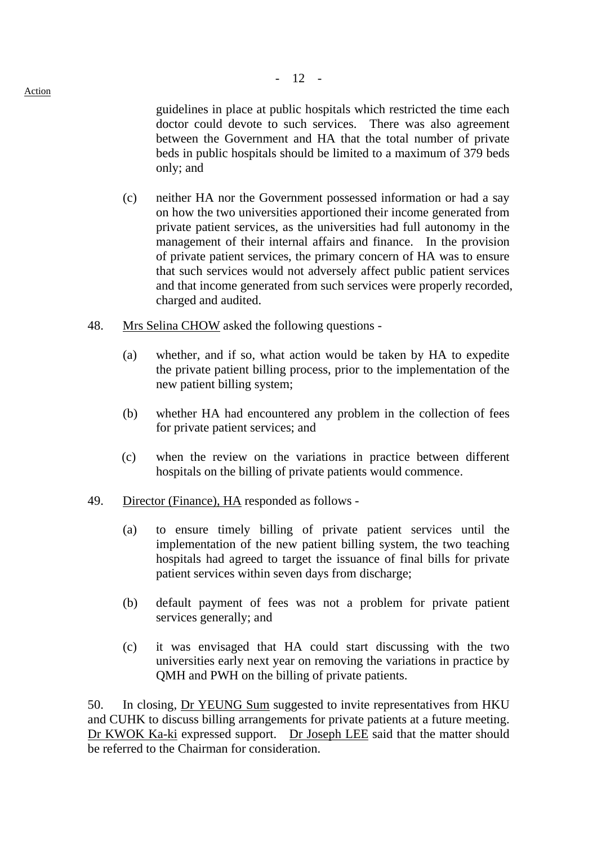guidelines in place at public hospitals which restricted the time each doctor could devote to such services. There was also agreement between the Government and HA that the total number of private beds in public hospitals should be limited to a maximum of 379 beds only; and

- (c) neither HA nor the Government possessed information or had a say on how the two universities apportioned their income generated from private patient services, as the universities had full autonomy in the management of their internal affairs and finance. In the provision of private patient services, the primary concern of HA was to ensure that such services would not adversely affect public patient services and that income generated from such services were properly recorded, charged and audited.
- 48. Mrs Selina CHOW asked the following questions
	- (a) whether, and if so, what action would be taken by HA to expedite the private patient billing process, prior to the implementation of the new patient billing system;
	- (b) whether HA had encountered any problem in the collection of fees for private patient services; and
	- (c) when the review on the variations in practice between different hospitals on the billing of private patients would commence.
- 49. Director (Finance), HA responded as follows
	- (a) to ensure timely billing of private patient services until the implementation of the new patient billing system, the two teaching hospitals had agreed to target the issuance of final bills for private patient services within seven days from discharge;
	- (b) default payment of fees was not a problem for private patient services generally; and
	- (c) it was envisaged that HA could start discussing with the two universities early next year on removing the variations in practice by QMH and PWH on the billing of private patients.

50. In closing, Dr YEUNG Sum suggested to invite representatives from HKU and CUHK to discuss billing arrangements for private patients at a future meeting. Dr KWOK Ka-ki expressed support. Dr Joseph LEE said that the matter should be referred to the Chairman for consideration.